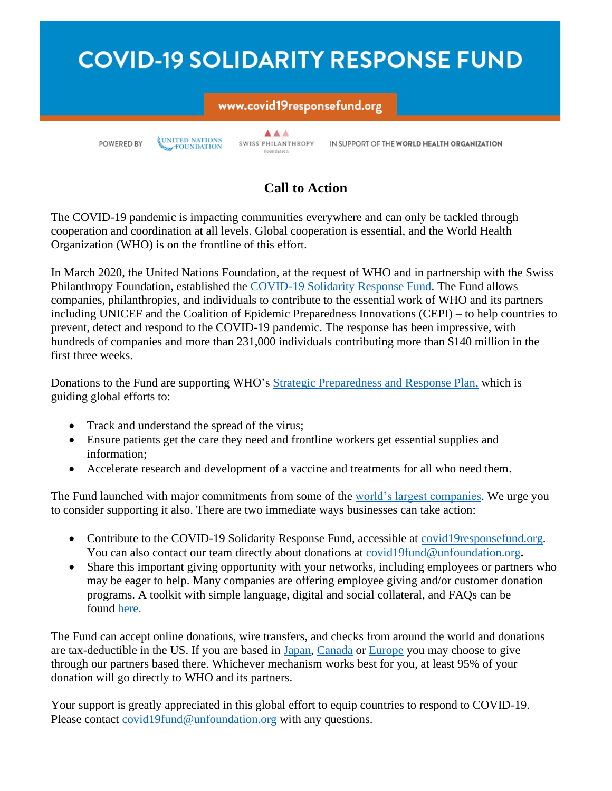# **COVID-19 SOLIDARITY RESPONSE FUND**

## www.covid19responsefund.org

POWERED BY

UNITED NATIONS

▲▲▲ SWISS PHILANTHROPY Foundation

IN SUPPORT OF THE WORLD HEALTH ORGANIZATION

## **Call to Action**

The COVID-19 pandemic is impacting communities everywhere and can only be tackled through cooperation and coordination at all levels. Global cooperation is essential, and the World Health Organization (WHO) is on the frontline of this effort.

In March 2020, the United Nations Foundation, at the request of WHO and in partnership with the Swiss Philanthropy Foundation, established the [COVID-19 Solidarity Response Fund.](https://nam02.safelinks.protection.outlook.com/?url=https%3A%2F%2Fcovid19responsefund.org%2F&data=02%7C01%7Clmuller%40unfoundation.org%7Cd249e5af8077420b6cf708d7dc00f664%7C5759a30d63b34fe7957010ff03bb6c92%7C0%7C0%7C637219769004126364&sdata=bizTWdAn6%2FfCr0psHalr113fRVngzj2S6Wwnhi3is9U%3D&reserved=0) The Fund allows companies, philanthropies, and individuals to contribute to the essential work of WHO and its partners – including UNICEF and the Coalition of Epidemic Preparedness Innovations (CEPI) – to help countries to prevent, detect and respond to the COVID-19 pandemic. The response has been impressive, with hundreds of companies and more than 231,000 individuals contributing more than \$140 million in the first three weeks.

Donations to the Fund are supporting WHO's **Strategic Preparedness and Response Plan**, which is guiding global efforts to:

- Track and understand the spread of the virus;
- Ensure patients get the care they need and frontline workers get essential supplies and information;
- Accelerate research and development of a vaccine and treatments for all who need them.

The Fund launched with major commitments from some of the [world's largest companies.](https://covid19responsefund.org/supporters) We urge you to consider supporting it also. There are two immediate ways businesses can take action:

- Contribute to the COVID-19 Solidarity Response Fund, accessible at [covid19responsefund.org.](https://nam02.safelinks.protection.outlook.com/?url=http%3A%2F%2Fwww.covid19responsefund.org%2F&data=02%7C01%7Clmuller%40unfoundation.org%7Cd249e5af8077420b6cf708d7dc00f664%7C5759a30d63b34fe7957010ff03bb6c92%7C0%7C0%7C637219769004136355&sdata=lKIYmQc2BOklWdvvDgp0%2FK%2BgE4mSkkYscizDTiRbhyg%3D&reserved=0) You can also contact our team directly about donations at [covid19fund@unfoundation.org](mailto:covid19fund@unfoundation.org).
- Share this important giving opportunity with your networks, including employees or partners who may be eager to help. Many companies are offering employee giving and/or customer donation programs. A toolkit with simple language, digital and social collateral, and FAQs can be found [here.](https://nam02.safelinks.protection.outlook.com/?url=https%3A%2F%2Funfoundation.org%2Fwhat-we-do%2Fissues%2Fglobal-health%2Fcovid-19-response-fund-toolkit%2F&data=02%7C01%7Clmuller%40unfoundation.org%7Cd249e5af8077420b6cf708d7dc00f664%7C5759a30d63b34fe7957010ff03bb6c92%7C0%7C0%7C637219769004136355&sdata=6IER7rzIfDmCpuXiPgDpZ2s3%2FSStl7DkWqRNSP%2BK048%3D&reserved=0)

The Fund can accept online donations, wire transfers, and checks from around the world and donations are tax-deductible in the US. If you are based in [Japan,](http://www.jcie.or.jp/japan/) [Canada](https://www.kbfcanada.ca/en/projects/support-the-covid-19-response-fund/) or [Europe](https://covid19responsefund.org/faq) you may choose to give through our partners based there. Whichever mechanism works best for you, at least 95% of your donation will go directly to WHO and its partners.

Your support is greatly appreciated in this global effort to equip countries to respond to COVID-19. Please contact [covid19fund@unfoundation.org](mailto:covid19fund@unfoundation.org) with any questions.